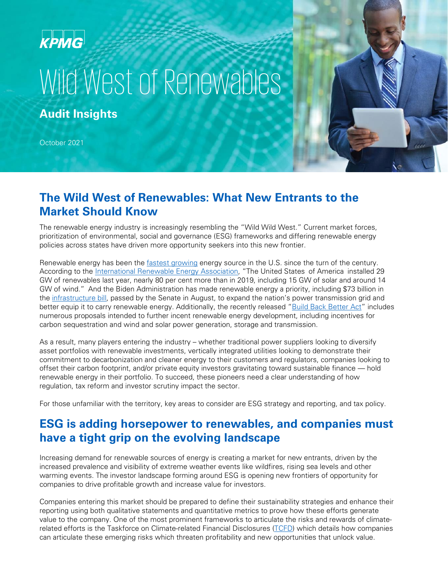## **KPMG**

# Wild West of Renewables

**Audit Insights**

October 2021

#### **The Wild West of Renewables: What New Entrants to the Market Should Know**

The renewable energy industry is increasingly resembling the "Wild Wild West." Current market forces, prioritization of environmental, social and governance (ESG) frameworks and differing renewable energy policies across states have driven more opportunity seekers into this new frontier.

Renewable energy has been the [fastest growing](https://www.c2es.org/content/renewable-energy/) energy source in the U.S. since the turn of the century. According to the [International Renewable Energy Association,](https://www.irena.org/newsroom/pressreleases/2021/Apr/World-Adds-Record-New-Renewable-Energy-Capacity-in-2020) "The United States of America installed 29 GW of renewables last year, nearly 80 per cent more than in 2019, including 15 GW of solar and around 14 GW of wind." And the Biden Administration has made renewable energy a priority, including \$73 billion in the [infrastructure bill,](https://www.whitehouse.gov/briefing-room/statements-releases/2021/07/28/fact-sheet-historic-bipartisan-infrastructure-deal/) passed by the Senate in August, to expand the nation's power transmission grid and better equip it to carry renewable energy. Additionally, the recently released ["Build Back Better Act"](https://assets.kpmg/content/dam/kpmg/us/pdf/2021/09/tnf-tax-proposals-budget-reconciliation-approved-ways-means-sep16-2021.pdf) includes numerous proposals intended to further incent renewable energy development, including incentives for carbon sequestration and wind and solar power generation, storage and transmission.

As a result, many players entering the industry – whether traditional power suppliers looking to diversify asset portfolios with renewable investments, vertically integrated utilities looking to demonstrate their commitment to decarbonization and cleaner energy to their customers and regulators, companies looking to offset their carbon footprint, and/or private equity investors gravitating toward sustainable finance — hold renewable energy in their portfolio. To succeed, these pioneers need a clear understanding of how regulation, tax reform and investor scrutiny impact the sector.

For those unfamiliar with the territory, key areas to consider are ESG strategy and reporting, and tax policy.

#### **ESG is adding horsepower to renewables, and companies must have a tight grip on the evolving landscape**

Increasing demand for renewable sources of energy is creating a market for new entrants, driven by the increased prevalence and visibility of extreme weather events like wildfires, rising sea levels and other warming events. The investor landscape forming around ESG is opening new frontiers of opportunity for companies to drive profitable growth and increase value for investors.

Companies entering this market should be prepared to define their sustainability strategies and enhance their reporting using both qualitative statements and quantitative metrics to prove how these efforts generate value to the company. One of the most prominent frameworks to articulate the risks and rewards of climaterelated efforts is the Taskforce on Climate-related Financial Disclosures [\(TCFD\)](https://www.fsb-tcfd.org/) which details how companies can articulate these emerging risks which threaten profitability and new opportunities that unlock value.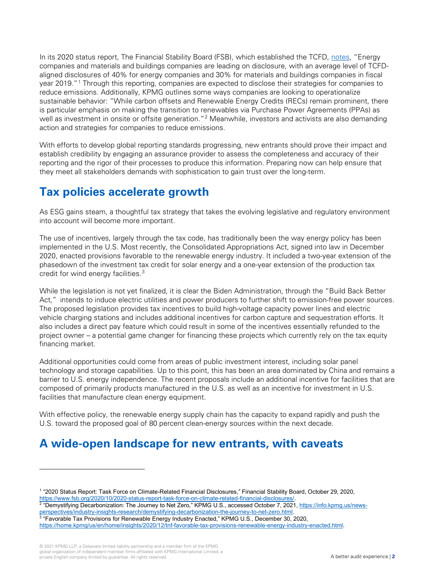In its 2020 status report, The Financial Stability Board (FSB), which established the TCFD, [notes,](https://www.fsb.org/2020/10/2020-status-report-task-force-on-climate-related-financial-disclosures/) "Energy companies and materials and buildings companies are leading on disclosure, with an average level of TCFDaligned disclosures of 40% for energy companies and 30% for materials and buildings companies in fiscal year 2019."[1](#page-1-0) Through this reporting, companies are expected to disclose their strategies for companies to reduce emissions. Additionally, KPMG outlines some ways companies are looking to operationalize sustainable behavior: "While carbon offsets and Renewable Energy Credits (RECs) remain prominent, there is particular emphasis on making the transition to renewables via Purchase Power Agreements (PPAs) as well as investment in onsite or offsite generation."<sup>[2](#page-1-1)</sup> Meanwhile, investors and activists are also demanding action and strategies for companies to reduce emissions.

With efforts to develop global reporting standards progressing, new entrants should prove their impact and establish credibility by engaging an assurance provider to assess the completeness and accuracy of their reporting and the rigor of their processes to produce this information. Preparing now can help ensure that they meet all stakeholders demands with sophistication to gain trust over the long-term.

### **Tax policies accelerate growth**

As ESG gains steam, a thoughtful tax strategy that takes the evolving legislative and regulatory environment into account will become more important.

The use of incentives, largely through the tax code, has traditionally been the way energy policy has been implemented in the U.S. Most recently, the Consolidated Appropriations Act, signed into law in December 2020, enacted provisions favorable to the renewable energy industry. It included a two-year extension of the phasedown of the investment tax credit for solar energy and a one-year extension of the production tax credit for wind energy facilities.[3](#page-1-2)

While the legislation is not yet finalized, it is clear the Biden Administration, through the "Build Back Better Act," intends to induce electric utilities and power producers to further shift to emission-free power sources. The proposed legislation provides tax incentives to build high-voltage capacity power lines and electric vehicle charging stations and includes additional incentives for carbon capture and sequestration efforts. It also includes a direct pay feature which could result in some of the incentives essentially refunded to the project owner – a potential game changer for financing these projects which currently rely on the tax equity financing market.

Additional opportunities could come from areas of public investment interest, including solar panel technology and storage capabilities. Up to this point, this has been an area dominated by China and remains a barrier to U.S. energy independence. The recent proposals include an additional incentive for facilities that are composed of primarily products manufactured in the U.S. as well as an incentive for investment in U.S. facilities that manufacture clean energy equipment.

With effective policy, the renewable energy supply chain has the capacity to expand rapidly and push the U.S. toward the proposed goal of 80 percent clean-energy sources within the next decade.

#### **A wide-open landscape for new entrants, with caveats**

<span id="page-1-1"></span>"Demystifying Decarbonization: The Journey to Net Zero," KPMG U.S., accessed October 7, 2021[, https://info.kpmg.us/news](https://info.kpmg.us/news-perspectives/industry-insights-research/demystifying-decarbonization-the-journey-to-net-zero.html)[perspectives/industry-insights-research/demystifying-decarbonization-the-journey-to-net-zero.html.](https://info.kpmg.us/news-perspectives/industry-insights-research/demystifying-decarbonization-the-journey-to-net-zero.html)

<span id="page-1-0"></span><sup>1</sup> "2020 Status Report: Task Force on Climate-Related Financial Disclosures," Financial Stability Board, October 29, 2020, [https://www.fsb.org/2020/10/2020-status-report-task-force-on-climate-related-financial-disclosures/.](https://www.fsb.org/2020/10/2020-status-report-task-force-on-climate-related-financial-disclosures/)

<span id="page-1-2"></span><sup>&</sup>lt;sup>3</sup> "Favorable Tax Provisions for Renewable Energy Industry Enacted," KPMG U.S., December 30, 2020, [https://home.kpmg/us/en/home/insights/2020/12/tnf-favorable-tax-provisions-renewable-energy-industry-enacted.html.](https://home.kpmg/us/en/home/insights/2020/12/tnf-favorable-tax-provisions-renewable-energy-industry-enacted.html)